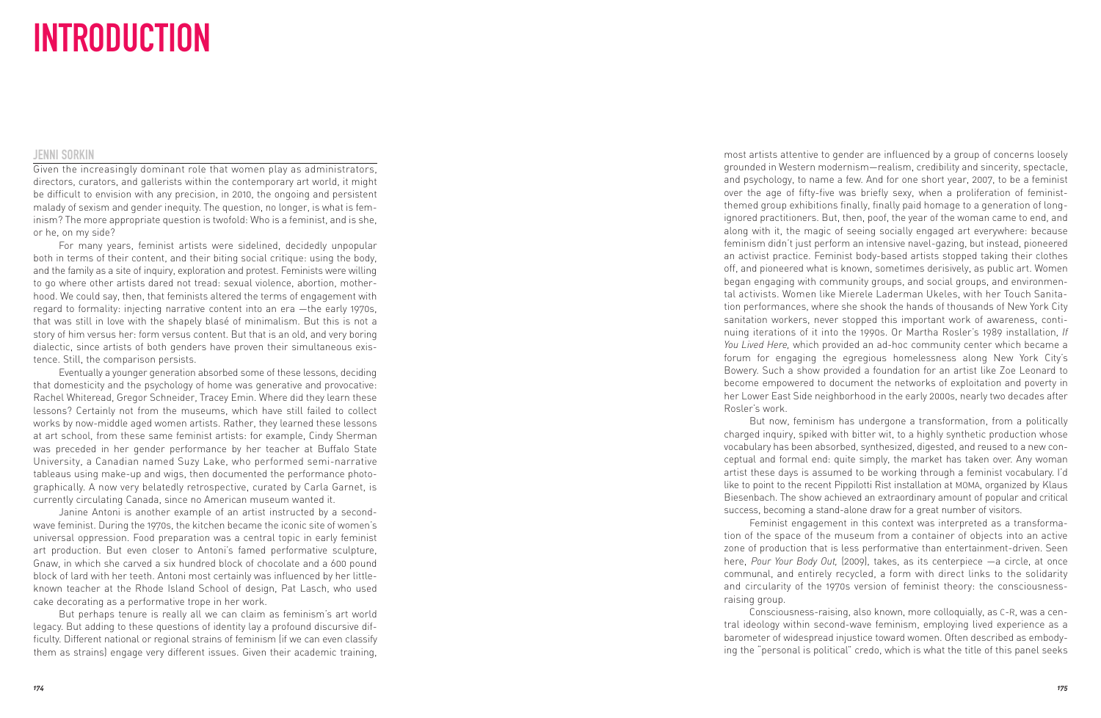## INTRODUCTION

## JENNI SORKIN

Given the increasingly dominant role that women play as administrators, directors, curators, and gallerists within the contemporary art world, it might be difficult to envision with any precision, in 2010, the ongoing and persistent malady of sexism and gender inequity. The question, no longer, is what is feminism? The more appropriate question is twofold: Who is a feminist, and is she, or he, on my side?

For many years, feminist artists were sidelined, decidedly unpopular both in terms of their content, and their biting social critique: using the body, and the family as a site of inquiry, exploration and protest. Feminists were willing to go where other artists dared not tread: sexual violence, abortion, motherhood. We could say, then, that feminists altered the terms of engagement with regard to formality: injecting narrative content into an era —the early 1970s, that was still in love with the shapely blasé of minimalism. But this is not a story of him versus her: form versus content. But that is an old, and very boring dialectic, since artists of both genders have proven their simultaneous existence. Still, the comparison persists.

Eventually a younger generation absorbed some of these lessons, deciding that domesticity and the psychology of home was generative and provocative: Rachel Whiteread, Gregor Schneider, Tracey Emin. Where did they learn these lessons? Certainly not from the museums, which have still failed to collect works by now-middle aged women artists. Rather, they learned these lessons at art school, from these same feminist artists: for example, Cindy Sherman was preceded in her gender performance by her teacher at Buffalo State University, a Canadian named Suzy Lake, who performed semi-narrative tableaus using make-up and wigs, then documented the performance photographically. A now very belatedly retrospective, curated by Carla Garnet, is currently circulating Canada, since no American museum wanted it.

Janine Antoni is another example of an artist instructed by a secondwave feminist. During the 1970s, the kitchen became the iconic site of women's universal oppression. Food preparation was a central topic in early feminist art production. But even closer to Antoni's famed performative sculpture, Gnaw, in which she carved a six hundred block of chocolate and a 600 pound block of lard with her teeth. Antoni most certainly was influenced by her littleknown teacher at the Rhode Island School of design, Pat Lasch, who used cake decorating as a performative trope in her work.

But perhaps tenure is really all we can claim as feminism's art world legacy. But adding to these questions of identity lay a profound discursive difficulty. Different national or regional strains of feminism (if we can even classify them as strains) engage very different issues. Given their academic training, most artists attentive to gender are influenced by a group of concerns loosely grounded in Western modernism—realism, credibility and sincerity, spectacle, and psychology, to name a few. And for one short year, 2007, to be a feminist over the age of fifty-five was briefly sexy, when a proliferation of feministthemed group exhibitions finally, finally paid homage to a generation of longignored practitioners. But, then, poof, the year of the woman came to end, and along with it, the magic of seeing socially engaged art everywhere: because feminism didn't just perform an intensive navel-gazing, but instead, pioneered an activist practice. Feminist body-based artists stopped taking their clothes off, and pioneered what is known, sometimes derisively, as public art. Women began engaging with community groups, and social groups, and environmental activists. Women like Mierele Laderman Ukeles, with her Touch Sanita tion performances, where she shook the hands of thousands of New York City sanitation workers, never stopped this important work of awareness, continuing iterations of it into the 1990s. Or Martha Rosler's 1989 installation, *If You Lived Here,* which provided an ad-hoc community center which became a forum for engaging the egregious homelessness along New York City's Bowery. Such a show provided a foundation for an artist like Zoe Leonard to become empowered to document the networks of exploitation and poverty in her Lower East Side neighborhood in the early 2000s, nearly two decades after Rosler's work.

But now, feminism has undergone a transformation, from a politically charged inquiry, spiked with bitter wit, to a highly synthetic production whose vocabulary has been absorbed, synthesized, digested, and reused to a new conceptual and formal end: quite simply, the market has taken over. Any woman artist these days is assumed to be working through a feminist vocabulary. I'd like to point to the recent Pippilotti Rist installation at MOMA, organized by Klaus Biesenbach. The show achieved an extraordinary amount of popular and critical success, becoming a stand-alone draw for a great number of visitors.

Feminist engagement in this context was interpreted as a transformation of the space of the museum from a container of objects into an active zone of production that is less performative than entertainment-driven. Seen here, *Pour Your Body Out,* (2009), takes, as its centerpiece —a circle, at once communal, and entirely recycled, a form with direct links to the solidarity and circularity of the 1970s version of feminist theory: the consciousnessraising group.

Consciousness-raising, also known, more colloquially, as C-R, was a central ideology within second-wave feminism, employing lived experience as a barometer of widespread injustice toward women. Often described as embodying the "personal is political" credo, which is what the title of this panel seeks